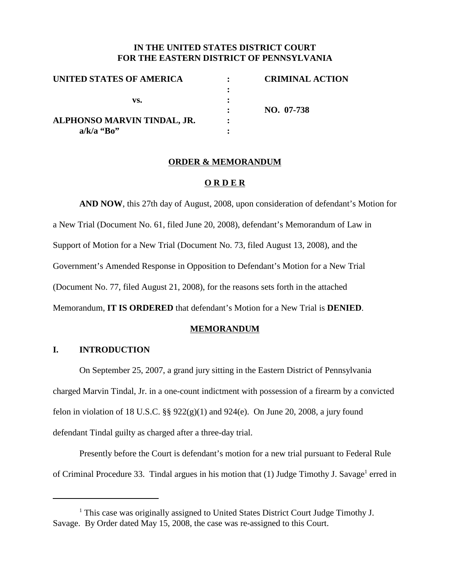# **IN THE UNITED STATES DISTRICT COURT FOR THE EASTERN DISTRICT OF PENNSYLVANIA**

| UNITED STATES OF AMERICA           | <b>CRIMINAL ACTION</b> |
|------------------------------------|------------------------|
|                                    |                        |
| vs.<br>ALPHONSO MARVIN TINDAL, JR. |                        |
|                                    | NO. 07-738             |
|                                    |                        |
| $a/k/a$ "Bo"                       |                        |

#### **ORDER & MEMORANDUM**

#### **O R D E R**

**AND NOW**, this 27th day of August, 2008, upon consideration of defendant's Motion for a New Trial (Document No. 61, filed June 20, 2008), defendant's Memorandum of Law in Support of Motion for a New Trial (Document No. 73, filed August 13, 2008), and the Government's Amended Response in Opposition to Defendant's Motion for a New Trial (Document No. 77, filed August 21, 2008), for the reasons sets forth in the attached Memorandum, **IT IS ORDERED** that defendant's Motion for a New Trial is **DENIED**.

#### **MEMORANDUM**

### **I. INTRODUCTION**

On September 25, 2007, a grand jury sitting in the Eastern District of Pennsylvania charged Marvin Tindal, Jr. in a one-count indictment with possession of a firearm by a convicted felon in violation of 18 U.S.C.  $\S$ § 922(g)(1) and 924(e). On June 20, 2008, a jury found defendant Tindal guilty as charged after a three-day trial.

Presently before the Court is defendant's motion for a new trial pursuant to Federal Rule of Criminal Procedure 33. Tindal argues in his motion that  $(1)$  Judge Timothy J. Savage<sup>1</sup> erred in

<sup>&</sup>lt;sup>1</sup> This case was originally assigned to United States District Court Judge Timothy J. Savage. By Order dated May 15, 2008, the case was re-assigned to this Court.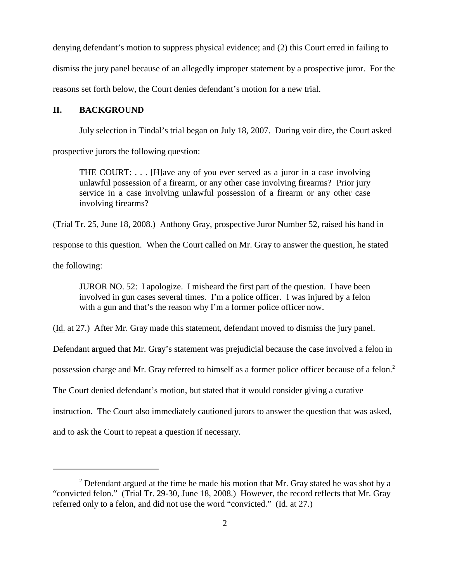denying defendant's motion to suppress physical evidence; and (2) this Court erred in failing to dismiss the jury panel because of an allegedly improper statement by a prospective juror. For the reasons set forth below, the Court denies defendant's motion for a new trial.

# **II. BACKGROUND**

July selection in Tindal's trial began on July 18, 2007. During voir dire, the Court asked

prospective jurors the following question:

THE COURT: . . . [H]ave any of you ever served as a juror in a case involving unlawful possession of a firearm, or any other case involving firearms? Prior jury service in a case involving unlawful possession of a firearm or any other case involving firearms?

(Trial Tr. 25, June 18, 2008.) Anthony Gray, prospective Juror Number 52, raised his hand in

response to this question. When the Court called on Mr. Gray to answer the question, he stated

the following:

JUROR NO. 52: I apologize. I misheard the first part of the question. I have been involved in gun cases several times. I'm a police officer. I was injured by a felon with a gun and that's the reason why I'm a former police officer now.

(Id. at 27.) After Mr. Gray made this statement, defendant moved to dismiss the jury panel.

Defendant argued that Mr. Gray's statement was prejudicial because the case involved a felon in

possession charge and Mr. Gray referred to himself as a former police officer because of a felon.<sup>2</sup>

The Court denied defendant's motion, but stated that it would consider giving a curative

instruction. The Court also immediately cautioned jurors to answer the question that was asked,

and to ask the Court to repeat a question if necessary.

 $2$  Defendant argued at the time he made his motion that Mr. Gray stated he was shot by a "convicted felon." (Trial Tr. 29-30, June 18, 2008.) However, the record reflects that Mr. Gray referred only to a felon, and did not use the word "convicted." (Id. at 27.)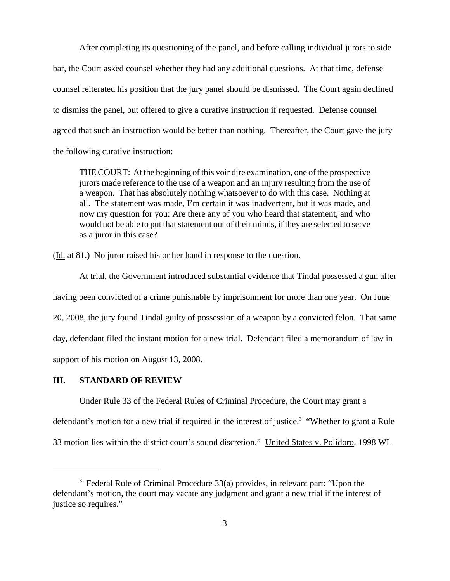After completing its questioning of the panel, and before calling individual jurors to side bar, the Court asked counsel whether they had any additional questions. At that time, defense counsel reiterated his position that the jury panel should be dismissed. The Court again declined to dismiss the panel, but offered to give a curative instruction if requested. Defense counsel agreed that such an instruction would be better than nothing. Thereafter, the Court gave the jury the following curative instruction:

THE COURT: At the beginning of this voir dire examination, one of the prospective jurors made reference to the use of a weapon and an injury resulting from the use of a weapon. That has absolutely nothing whatsoever to do with this case. Nothing at all. The statement was made, I'm certain it was inadvertent, but it was made, and now my question for you: Are there any of you who heard that statement, and who would not be able to put that statement out of their minds, if they are selected to serve as a juror in this case?

(Id. at 81.) No juror raised his or her hand in response to the question.

At trial, the Government introduced substantial evidence that Tindal possessed a gun after having been convicted of a crime punishable by imprisonment for more than one year. On June 20, 2008, the jury found Tindal guilty of possession of a weapon by a convicted felon. That same day, defendant filed the instant motion for a new trial. Defendant filed a memorandum of law in support of his motion on August 13, 2008.

## **III. STANDARD OF REVIEW**

Under Rule 33 of the Federal Rules of Criminal Procedure, the Court may grant a defendant's motion for a new trial if required in the interest of justice.<sup>3</sup> "Whether to grant a Rule 33 motion lies within the district court's sound discretion." United States v. Polidoro, 1998 WL

 $3$  Federal Rule of Criminal Procedure 33(a) provides, in relevant part: "Upon the defendant's motion, the court may vacate any judgment and grant a new trial if the interest of justice so requires."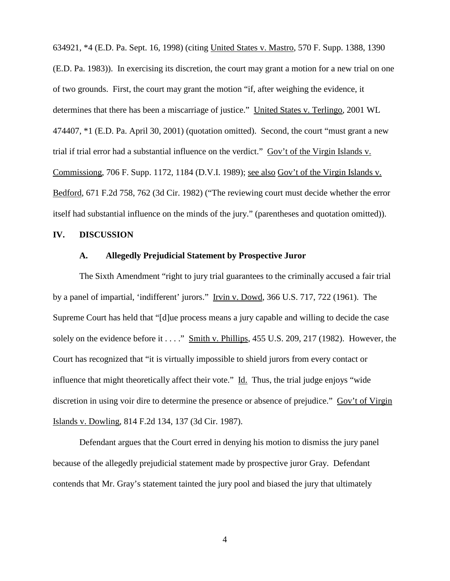634921, \*4 (E.D. Pa. Sept. 16, 1998) (citing United States v. Mastro, 570 F. Supp. 1388, 1390 (E.D. Pa. 1983)). In exercising its discretion, the court may grant a motion for a new trial on one of two grounds. First, the court may grant the motion "if, after weighing the evidence, it determines that there has been a miscarriage of justice." United States v. Terlingo, 2001 WL 474407, \*1 (E.D. Pa. April 30, 2001) (quotation omitted). Second, the court "must grant a new trial if trial error had a substantial influence on the verdict." Gov't of the Virgin Islands v. Commissiong, 706 F. Supp. 1172, 1184 (D.V.I. 1989); see also Gov't of the Virgin Islands v. Bedford, 671 F.2d 758, 762 (3d Cir. 1982) ("The reviewing court must decide whether the error itself had substantial influence on the minds of the jury." (parentheses and quotation omitted)).

### **IV. DISCUSSION**

## **A. Allegedly Prejudicial Statement by Prospective Juror**

The Sixth Amendment "right to jury trial guarantees to the criminally accused a fair trial by a panel of impartial, 'indifferent' jurors." Irvin v. Dowd, 366 U.S. 717, 722 (1961). The Supreme Court has held that "[d]ue process means a jury capable and willing to decide the case solely on the evidence before it . . . ." Smith v. Phillips, 455 U.S. 209, 217 (1982). However, the Court has recognized that "it is virtually impossible to shield jurors from every contact or influence that might theoretically affect their vote." Id. Thus, the trial judge enjoys "wide discretion in using voir dire to determine the presence or absence of prejudice." Gov't of Virgin Islands v. Dowling, 814 F.2d 134, 137 (3d Cir. 1987).

Defendant argues that the Court erred in denying his motion to dismiss the jury panel because of the allegedly prejudicial statement made by prospective juror Gray. Defendant contends that Mr. Gray's statement tainted the jury pool and biased the jury that ultimately

4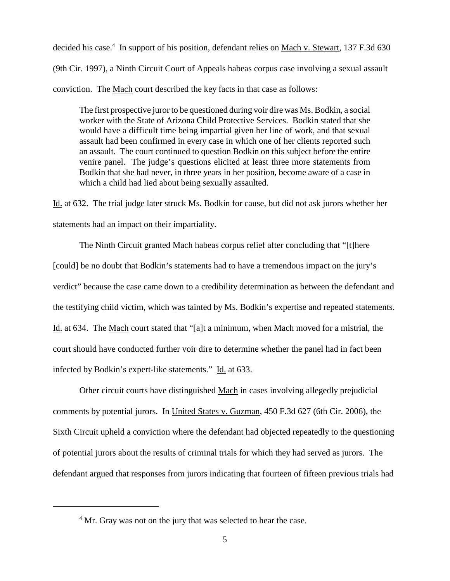decided his case.<sup>4</sup> In support of his position, defendant relies on Mach v. Stewart, 137 F.3d 630 (9th Cir. 1997), a Ninth Circuit Court of Appeals habeas corpus case involving a sexual assault conviction. The Mach court described the key facts in that case as follows:

The first prospective juror to be questioned during voir dire was Ms. Bodkin, a social worker with the State of Arizona Child Protective Services. Bodkin stated that she would have a difficult time being impartial given her line of work, and that sexual assault had been confirmed in every case in which one of her clients reported such an assault. The court continued to question Bodkin on this subject before the entire venire panel. The judge's questions elicited at least three more statements from Bodkin that she had never, in three years in her position, become aware of a case in which a child had lied about being sexually assaulted.

Id. at 632. The trial judge later struck Ms. Bodkin for cause, but did not ask jurors whether her statements had an impact on their impartiality.

The Ninth Circuit granted Mach habeas corpus relief after concluding that "[t]here [could] be no doubt that Bodkin's statements had to have a tremendous impact on the jury's verdict" because the case came down to a credibility determination as between the defendant and the testifying child victim, which was tainted by Ms. Bodkin's expertise and repeated statements. Id. at 634. The Mach court stated that "[a]t a minimum, when Mach moved for a mistrial, the court should have conducted further voir dire to determine whether the panel had in fact been infected by Bodkin's expert-like statements." Id. at 633.

Other circuit courts have distinguished Mach in cases involving allegedly prejudicial comments by potential jurors. In United States v. Guzman, 450 F.3d 627 (6th Cir. 2006), the Sixth Circuit upheld a conviction where the defendant had objected repeatedly to the questioning of potential jurors about the results of criminal trials for which they had served as jurors. The defendant argued that responses from jurors indicating that fourteen of fifteen previous trials had

<sup>&</sup>lt;sup>4</sup> Mr. Gray was not on the jury that was selected to hear the case.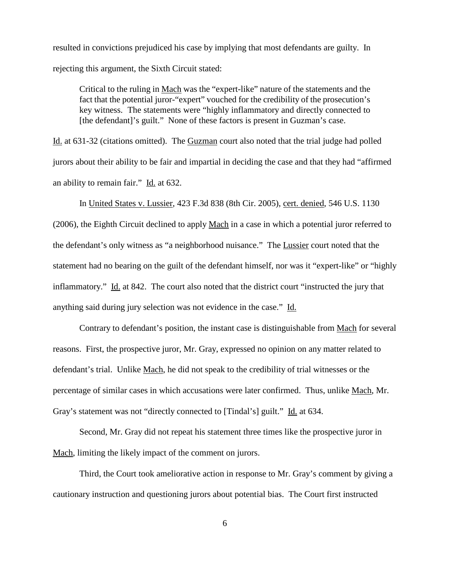resulted in convictions prejudiced his case by implying that most defendants are guilty. In rejecting this argument, the Sixth Circuit stated:

Critical to the ruling in Mach was the "expert-like" nature of the statements and the fact that the potential juror-"expert" vouched for the credibility of the prosecution's key witness. The statements were "highly inflammatory and directly connected to [the defendant]'s guilt." None of these factors is present in Guzman's case.

Id. at 631-32 (citations omitted). The Guzman court also noted that the trial judge had polled jurors about their ability to be fair and impartial in deciding the case and that they had "affirmed an ability to remain fair." Id. at 632.

In United States v. Lussier, 423 F.3d 838 (8th Cir. 2005), cert. denied, 546 U.S. 1130 (2006), the Eighth Circuit declined to apply Mach in a case in which a potential juror referred to the defendant's only witness as "a neighborhood nuisance." The Lussier court noted that the statement had no bearing on the guilt of the defendant himself, nor was it "expert-like" or "highly inflammatory." Id. at 842. The court also noted that the district court "instructed the jury that anything said during jury selection was not evidence in the case." Id.

Contrary to defendant's position, the instant case is distinguishable from Mach for several reasons. First, the prospective juror, Mr. Gray, expressed no opinion on any matter related to defendant's trial. Unlike Mach, he did not speak to the credibility of trial witnesses or the percentage of similar cases in which accusations were later confirmed. Thus, unlike Mach, Mr. Gray's statement was not "directly connected to [Tindal's] guilt." Id. at 634.

Second, Mr. Gray did not repeat his statement three times like the prospective juror in Mach, limiting the likely impact of the comment on jurors.

Third, the Court took ameliorative action in response to Mr. Gray's comment by giving a cautionary instruction and questioning jurors about potential bias. The Court first instructed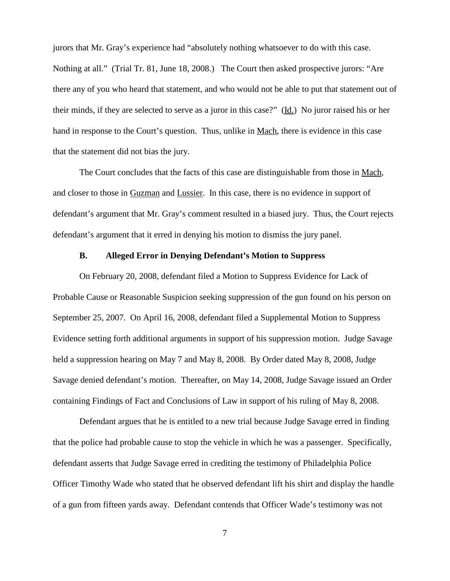jurors that Mr. Gray's experience had "absolutely nothing whatsoever to do with this case. Nothing at all." (Trial Tr. 81, June 18, 2008.) The Court then asked prospective jurors: "Are there any of you who heard that statement, and who would not be able to put that statement out of their minds, if they are selected to serve as a juror in this case?" (Id.) No juror raised his or her hand in response to the Court's question. Thus, unlike in Mach, there is evidence in this case that the statement did not bias the jury.

The Court concludes that the facts of this case are distinguishable from those in Mach, and closer to those in Guzman and Lussier. In this case, there is no evidence in support of defendant's argument that Mr. Gray's comment resulted in a biased jury. Thus, the Court rejects defendant's argument that it erred in denying his motion to dismiss the jury panel.

## **B. Alleged Error in Denying Defendant's Motion to Suppress**

On February 20, 2008, defendant filed a Motion to Suppress Evidence for Lack of Probable Cause or Reasonable Suspicion seeking suppression of the gun found on his person on September 25, 2007. On April 16, 2008, defendant filed a Supplemental Motion to Suppress Evidence setting forth additional arguments in support of his suppression motion. Judge Savage held a suppression hearing on May 7 and May 8, 2008. By Order dated May 8, 2008, Judge Savage denied defendant's motion. Thereafter, on May 14, 2008, Judge Savage issued an Order containing Findings of Fact and Conclusions of Law in support of his ruling of May 8, 2008.

Defendant argues that he is entitled to a new trial because Judge Savage erred in finding that the police had probable cause to stop the vehicle in which he was a passenger. Specifically, defendant asserts that Judge Savage erred in crediting the testimony of Philadelphia Police Officer Timothy Wade who stated that he observed defendant lift his shirt and display the handle of a gun from fifteen yards away. Defendant contends that Officer Wade's testimony was not

7